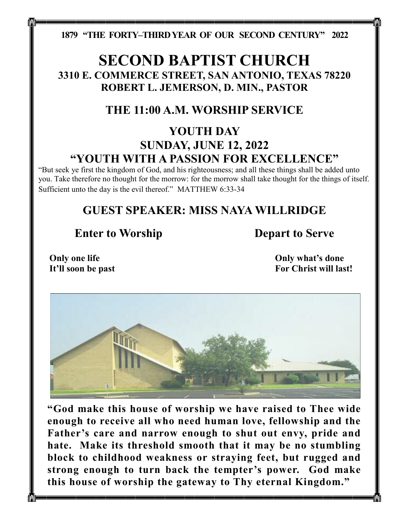**1879 "THE FORTY–THIRD YEAR OF OUR SECOND CENTURY" 2022**

# **SECOND BAPTIST CHURCH 3310 E. COMMERCE STREET, SAN ANTONIO, TEXAS 78220 ROBERT L. JEMERSON, D. MIN., PASTOR**

# **THE 11:00 A.M. WORSHIP SERVICE**

# **YOUTH DAY SUNDAY, JUNE 12, 2022 "YOUTH WITH A PASSION FOR EXCELLENCE"**

"But seek ye first the kingdom of God, and his righteousness; and all these things shall be added unto you. Take therefore no thought for the morrow: for the morrow shall take thought for the things of itself. Sufficient unto the day is the evil thereof." MATTHEW 6:33-34

# **GUEST SPEAKER: MISS NAYA WILLRIDGE**

## **Enter to Worship Depart to Serve**

**Only one life It'll soon be past** **Only what's done For Christ will last!**



**"God make this house of worship we have raised to Thee wide enough to receive all who need human love, fellowship and the Father's care and narrow enough to shut out envy, pride and hate. Make its threshold smooth that it may be no stumbling block to childhood weakness or straying feet, but rugged and strong enough to turn back the tempter's power. God make this house of worship the gateway to Thy eternal Kingdom."**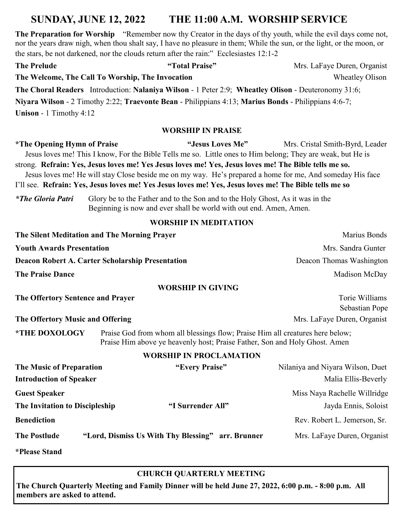## **SUNDAY, JUNE 12, 2022 THE 11:00 A.M. WORSHIP SERVICE**

**The Preparation for Worship** "Remember now thy Creator in the days of thy youth, while the evil days come not, nor the years draw nigh, when thou shalt say, I have no pleasure in them; While the sun, or the light, or the moon, or the stars, be not darkened, nor the clouds return after the rain:" Ecclesiastes 12:1-2

| <b>The Prelude</b>                                                                                   | "Total Praise"                                                                                                           | Mrs. LaFaye Duren, Organist |  |
|------------------------------------------------------------------------------------------------------|--------------------------------------------------------------------------------------------------------------------------|-----------------------------|--|
|                                                                                                      | The Welcome, The Call To Worship, The Invocation                                                                         | <b>Wheatley Olison</b>      |  |
|                                                                                                      | <b>The Choral Readers</b> Introduction: <b>Nalaniya Wilson</b> - 1 Peter 2:9; <b>Wheatley Olison</b> - Deuteronomy 31:6; |                             |  |
| Niyara Wilson - 2 Timothy 2:22; Traevonte Bean - Philippians 4:13; Marius Bonds - Philippians 4:6-7; |                                                                                                                          |                             |  |
| <b>Unison</b> - 1 Timothy $4:12$                                                                     |                                                                                                                          |                             |  |
|                                                                                                      |                                                                                                                          |                             |  |

#### **WORSHIP IN PRAISE**

\*The Opening Hymn of Praise "Jesus Loves Me" Mrs. Cristal Smith-Byrd, Leader Jesus loves me! This I know, For the Bible Tells me so. Little ones to Him belong; They are weak, but He is strong. **Refrain: Yes, Jesus loves me! Yes Jesus loves me! Yes, Jesus loves me! The Bible tells me so.** Jesus loves me! He will stay Close beside me on my way. He's prepared a home for me, And someday His face I'll see. Refrain: Yes, Jesus loves me! Yes Jesus loves me! Yes, Jesus loves me! The Bible tells me so

*\*The Gloria Patri* Glory be to the Father and to the Son and to the Holy Ghost, As it was in the Beginning is now and ever shall be world with out end. Amen, Amen.

#### **WORSHIP IN MEDITATION**

| The Silent Meditation and The Morning Prayer            |                                                   | Marius Bonds                                                                                                                                                |  |
|---------------------------------------------------------|---------------------------------------------------|-------------------------------------------------------------------------------------------------------------------------------------------------------------|--|
| <b>Youth Awards Presentation</b>                        |                                                   | Mrs. Sandra Gunter                                                                                                                                          |  |
| <b>Deacon Robert A. Carter Scholarship Presentation</b> |                                                   | Deacon Thomas Washington                                                                                                                                    |  |
| <b>The Praise Dance</b>                                 |                                                   | Madison McDay                                                                                                                                               |  |
|                                                         | <b>WORSHIP IN GIVING</b>                          |                                                                                                                                                             |  |
| The Offertory Sentence and Prayer                       |                                                   | Torie Williams<br>Sebastian Pope                                                                                                                            |  |
| The Offertory Music and Offering                        |                                                   | Mrs. LaFaye Duren, Organist                                                                                                                                 |  |
| <b>*THE DOXOLOGY</b>                                    |                                                   | Praise God from whom all blessings flow; Praise Him all creatures here below;<br>Praise Him above ye heavenly host; Praise Father, Son and Holy Ghost. Amen |  |
|                                                         | <b>WORSHIP IN PROCLAMATION</b>                    |                                                                                                                                                             |  |
| <b>The Music of Preparation</b>                         | "Every Praise"                                    | Nilaniya and Niyara Wilson, Duet                                                                                                                            |  |
| <b>Introduction of Speaker</b>                          |                                                   | Malia Ellis-Beverly                                                                                                                                         |  |
| <b>Guest Speaker</b>                                    |                                                   | Miss Naya Rachelle Willridge                                                                                                                                |  |
| The Invitation to Discipleship                          | "I Surrender All"                                 | Jayda Ennis, Soloist                                                                                                                                        |  |
| <b>Benediction</b>                                      |                                                   | Rev. Robert L. Jemerson, Sr.                                                                                                                                |  |
| <b>The Postlude</b>                                     | "Lord, Dismiss Us With Thy Blessing" arr. Brunner | Mrs. LaFaye Duren, Organist                                                                                                                                 |  |
| <i><b>*Please Stand</b></i>                             |                                                   |                                                                                                                                                             |  |

#### **CHURCH QUARTERLY MEETING**

**The Church Quarterly Meeting and Family Dinner will be held June 27, 2022, 6:00 p.m. - 8:00 p.m. All members are asked to attend.**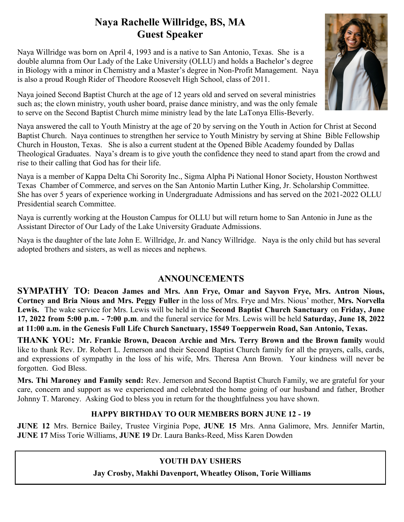## **Naya Rachelle Willridge, BS, MA Guest Speaker**

Naya Willridge was born on April 4, 1993 and is a native to San Antonio, Texas. She is a double alumna from Our Lady of the Lake University (OLLU) and holds a Bachelor's degree in Biology with a minor in Chemistry and a Master's degree in Non-Profit Management. Naya is also a proud Rough Rider of Theodore Roosevelt High School, class of 2011.



Naya joined Second Baptist Church at the age of 12 years old and served on several ministries such as; the clown ministry, youth usher board, praise dance ministry, and was the only female to serve on the Second Baptist Church mime ministry lead by the late LaTonya Ellis-Beverly.

Naya answered the call to Youth Ministry at the age of 20 by serving on the Youth in Action for Christ at Second Baptist Church. Naya continues to strengthen her service to Youth Ministry by serving at Shine Bible Fellowship Church in Houston, Texas. She is also a current student at the Opened Bible Academy founded by Dallas Theological Graduates. Naya's dream is to give youth the confidence they need to stand apart from the crowd and rise to their calling that God has for their life.

Naya is a member of Kappa Delta Chi Sorority Inc., Sigma Alpha Pi National Honor Society, Houston Northwest Texas Chamber of Commerce, and serves on the San Antonio Martin Luther King, Jr. Scholarship Committee. She has over 5 years of experience working in Undergraduate Admissions and has served on the 2021-2022 OLLU Presidential search Committee.

Naya is currently working at the Houston Campus for OLLU but will return home to San Antonio in June as the Assistant Director of Our Lady of the Lake University Graduate Admissions.

Naya is the daughter of the late John E. Willridge, Jr. and Nancy Willridge. Naya is the only child but has several adopted brothers and sisters, as well as nieces and nephews.

### **ANNOUNCEMENTS**

**SYMPATHY TO: Deacon James and Mrs. Ann Frye, Omar and Sayvon Frye, Mrs. Antron Nious, Cortney and Bria Nious and Mrs. Peggy Fuller** in the loss of Mrs. Frye and Mrs. Nious' mother, **Mrs. Norvella Lewis.** The wake service for Mrs. Lewis will be held in the **Second Baptist Church Sanctuary** on **Friday, June 17, 2022 from 5:00 p.m. - 7:00 p.m**. and the funeral service for Mrs. Lewis will be held **Saturday, June 18, 2022 at 11:00 a.m. in the Genesis Full Life Church Sanctuary, 15549 Toepperwein Road, San Antonio, Texas.**

**THANK YOU: Mr. Frankie Brown, Deacon Archie and Mrs. Terry Brown and the Brown family** would like to thank Rev. Dr. Robert L. Jemerson and their Second Baptist Church family for all the prayers, calls, cards, and expressions of sympathy in the loss of his wife, Mrs. Theresa Ann Brown. Your kindness will never be forgotten. God Bless.

**Mrs. Thi Maroney and Family send:** Rev. Jemerson and Second Baptist Church Family, we are grateful for your care, concern and support as we experienced and celebrated the home going of our husband and father, Brother Johnny T. Maroney. Asking God to bless you in return for the thoughtfulness you have shown.

### **HAPPY BIRTHDAY TO OUR MEMBERS BORN JUNE 12 - 19**

**JUNE 12** Mrs. Bernice Bailey, Trustee Virginia Pope, **JUNE 15** Mrs. Anna Galimore, Mrs. Jennifer Martin, **JUNE 17** Miss Torie Williams, **JUNE 19** Dr. Laura Banks-Reed, Miss Karen Dowden

### **YOUTH DAY USHERS**

 **Jay Crosby, Makhi Davenport, Wheatley Olison, Torie Williams**